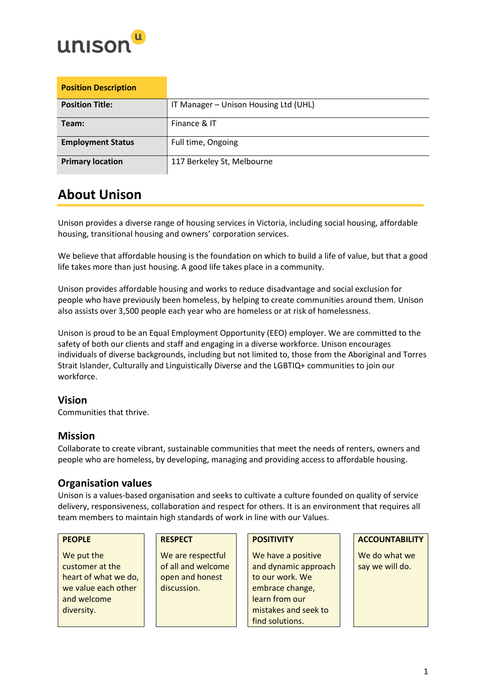

| <b>Position Description</b> |                                       |
|-----------------------------|---------------------------------------|
| <b>Position Title:</b>      | IT Manager - Unison Housing Ltd (UHL) |
| Team:                       | Finance & IT                          |
| <b>Employment Status</b>    | Full time, Ongoing                    |
| <b>Primary location</b>     | 117 Berkeley St, Melbourne            |

## **About Unison**

Unison provides a diverse range of housing services in Victoria, including social housing, affordable housing, transitional housing and owners' corporation services.

We believe that affordable housing is the foundation on which to build a life of value, but that a good life takes more than just housing. A good life takes place in a community.

Unison provides affordable housing and works to reduce disadvantage and social exclusion for people who have previously been homeless, by helping to create communities around them. Unison also assists over 3,500 people each year who are homeless or at risk of homelessness.

Unison is proud to be an Equal Employment Opportunity (EEO) employer. We are committed to the safety of both our clients and staff and engaging in a diverse workforce. Unison encourages individuals of diverse backgrounds, including but not limited to, those from the Aboriginal and Torres Strait Islander, Culturally and Linguistically Diverse and the LGBTIQ+ communities to join our workforce.

### **Vision**

Communities that thrive.

#### **Mission**

Collaborate to create vibrant, sustainable communities that meet the needs of renters, owners and people who are homeless, by developing, managing and providing access to affordable housing.

### **Organisation values**

Unison is a values-based organisation and seeks to cultivate a culture founded on quality of service delivery, responsiveness, collaboration and respect for others. It is an environment that requires all team members to maintain high standards of work in line with our Values.

We put the customer at the heart of what we do, we value each other and welcome diversity.

We are respectful of all and welcome open and honest discussion.

We have a positive and dynamic approach to our work. We embrace change, learn from our mistakes and seek to find solutions.

#### **PEOPLE RESPECT POSITIVITY ACCOUNTABILITY**

We do what we say we will do.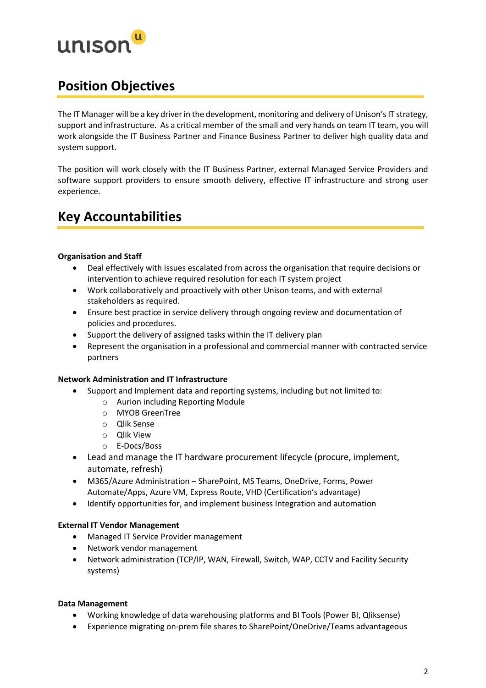

## **Position Objectives**

The IT Manager will be a key driver in the development, monitoring and delivery of Unison's IT strategy, support and infrastructure. As a critical member of the small and very hands on team IT team, you will work alongside the IT Business Partner and Finance Business Partner to deliver high quality data and system support.

The position will work closely with the IT Business Partner, external Managed Service Providers and software support providers to ensure smooth delivery, effective IT infrastructure and strong user experience.

## **Key Accountabilities**

#### **Organisation and Staff**

- Deal effectively with issues escalated from across the organisation that require decisions or intervention to achieve required resolution for each IT system project
- Work collaboratively and proactively with other Unison teams, and with external stakeholders as required.
- Ensure best practice in service delivery through ongoing review and documentation of policies and procedures.
- Support the delivery of assigned tasks within the IT delivery plan
- Represent the organisation in a professional and commercial manner with contracted service partners

#### **Network Administration and IT Infrastructure**

- Support and Implement data and reporting systems, including but not limited to:
	- o Aurion including Reporting Module
	- o MYOB GreenTree
	- o Qlik Sense
	- o Qlik View
	- o E-Docs/Boss
- Lead and manage the IT hardware procurement lifecycle (procure, implement, automate, refresh)
- M365/Azure Administration SharePoint, MS Teams, OneDrive, Forms, Power Automate/Apps, Azure VM, Express Route, VHD (Certification's advantage)
- Identify opportunities for, and implement business Integration and automation

#### **External IT Vendor Management**

- Managed IT Service Provider management
- Network vendor management
- Network administration (TCP/IP, WAN, Firewall, Switch, WAP, CCTV and Facility Security systems)

#### **Data Management**

- Working knowledge of data warehousing platforms and BI Tools (Power BI, Qliksense)
- Experience migrating on-prem file shares to SharePoint/OneDrive/Teams advantageous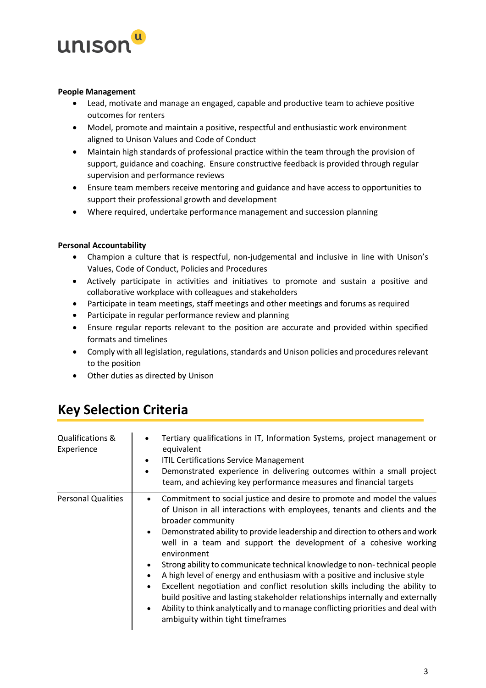

#### **People Management**

- Lead, motivate and manage an engaged, capable and productive team to achieve positive outcomes for renters
- Model, promote and maintain a positive, respectful and enthusiastic work environment aligned to Unison Values and Code of Conduct
- Maintain high standards of professional practice within the team through the provision of support, guidance and coaching. Ensure constructive feedback is provided through regular supervision and performance reviews
- Ensure team members receive mentoring and guidance and have access to opportunities to support their professional growth and development
- Where required, undertake performance management and succession planning

#### **Personal Accountability**

- Champion a culture that is respectful, non-judgemental and inclusive in line with Unison's Values, Code of Conduct, Policies and Procedures
- Actively participate in activities and initiatives to promote and sustain a positive and collaborative workplace with colleagues and stakeholders
- Participate in team meetings, staff meetings and other meetings and forums as required
- Participate in regular performance review and planning
- Ensure regular reports relevant to the position are accurate and provided within specified formats and timelines
- Comply with all legislation, regulations, standards and Unison policies and procedures relevant to the position
- Other duties as directed by Unison

## **Key Selection Criteria**

| Qualifications &<br>Experience | Tertiary qualifications in IT, Information Systems, project management or<br>$\bullet$<br>equivalent<br><b>ITIL Certifications Service Management</b><br>$\bullet$<br>Demonstrated experience in delivering outcomes within a small project<br>$\bullet$<br>team, and achieving key performance measures and financial targets                                                                                                                                                                                                                                                                                                                                                                                                                                                                                                                        |
|--------------------------------|-------------------------------------------------------------------------------------------------------------------------------------------------------------------------------------------------------------------------------------------------------------------------------------------------------------------------------------------------------------------------------------------------------------------------------------------------------------------------------------------------------------------------------------------------------------------------------------------------------------------------------------------------------------------------------------------------------------------------------------------------------------------------------------------------------------------------------------------------------|
| <b>Personal Qualities</b>      | Commitment to social justice and desire to promote and model the values<br>$\bullet$<br>of Unison in all interactions with employees, tenants and clients and the<br>broader community<br>Demonstrated ability to provide leadership and direction to others and work<br>$\bullet$<br>well in a team and support the development of a cohesive working<br>environment<br>Strong ability to communicate technical knowledge to non-technical people<br>A high level of energy and enthusiasm with a positive and inclusive style<br>Excellent negotiation and conflict resolution skills including the ability to<br>$\bullet$<br>build positive and lasting stakeholder relationships internally and externally<br>Ability to think analytically and to manage conflicting priorities and deal with<br>$\bullet$<br>ambiguity within tight timeframes |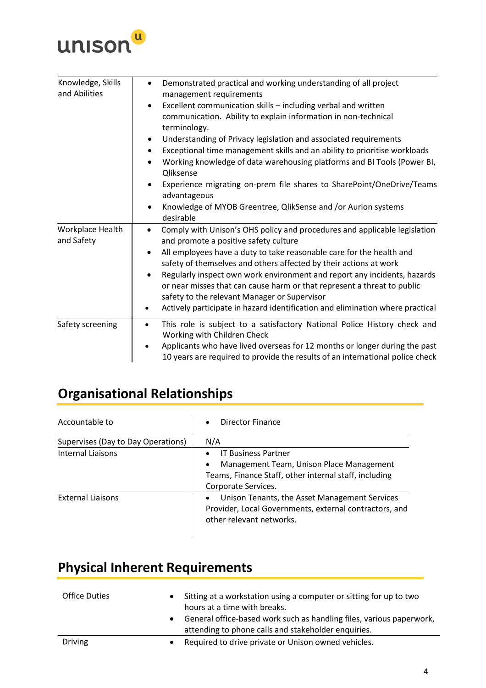

| Knowledge, Skills<br>and Abilities | Demonstrated practical and working understanding of all project<br>management requirements                                                                                                                       |
|------------------------------------|------------------------------------------------------------------------------------------------------------------------------------------------------------------------------------------------------------------|
|                                    | Excellent communication skills - including verbal and written<br>communication. Ability to explain information in non-technical<br>terminology.                                                                  |
|                                    | Understanding of Privacy legislation and associated requirements<br>٠                                                                                                                                            |
|                                    | Exceptional time management skills and an ability to prioritise workloads                                                                                                                                        |
|                                    | Working knowledge of data warehousing platforms and BI Tools (Power BI,<br>$\bullet$<br>Qliksense                                                                                                                |
|                                    | Experience migrating on-prem file shares to SharePoint/OneDrive/Teams<br>advantageous                                                                                                                            |
|                                    | Knowledge of MYOB Greentree, QlikSense and /or Aurion systems<br>$\bullet$<br>desirable                                                                                                                          |
| Workplace Health<br>and Safety     | Comply with Unison's OHS policy and procedures and applicable legislation<br>$\bullet$<br>and promote a positive safety culture                                                                                  |
|                                    | All employees have a duty to take reasonable care for the health and<br>٠<br>safety of themselves and others affected by their actions at work                                                                   |
|                                    | Regularly inspect own work environment and report any incidents, hazards<br>$\bullet$<br>or near misses that can cause harm or that represent a threat to public<br>safety to the relevant Manager or Supervisor |
|                                    | Actively participate in hazard identification and elimination where practical<br>$\bullet$                                                                                                                       |
| Safety screening                   | This role is subject to a satisfactory National Police History check and<br>$\bullet$<br>Working with Children Check                                                                                             |
|                                    | Applicants who have lived overseas for 12 months or longer during the past<br>$\bullet$<br>10 years are required to provide the results of an international police check                                         |

# **Organisational Relationships**

| Accountable to                     | Director Finance<br>$\bullet$                                                                                                                                                    |
|------------------------------------|----------------------------------------------------------------------------------------------------------------------------------------------------------------------------------|
| Supervises (Day to Day Operations) | N/A                                                                                                                                                                              |
| Internal Liaisons                  | <b>IT Business Partner</b><br>$\bullet$<br>Management Team, Unison Place Management<br>$\bullet$<br>Teams, Finance Staff, other internal staff, including<br>Corporate Services. |
| <b>External Liaisons</b>           | Unison Tenants, the Asset Management Services<br>$\bullet$<br>Provider, Local Governments, external contractors, and<br>other relevant networks.                                 |

# **Physical Inherent Requirements**

| <b>Office Duties</b> | $\bullet$<br>$\bullet$ | Sitting at a workstation using a computer or sitting for up to two<br>hours at a time with breaks.<br>General office-based work such as handling files, various paperwork,<br>attending to phone calls and stakeholder enquiries. |
|----------------------|------------------------|-----------------------------------------------------------------------------------------------------------------------------------------------------------------------------------------------------------------------------------|
| <b>Driving</b>       |                        | Required to drive private or Unison owned vehicles.                                                                                                                                                                               |